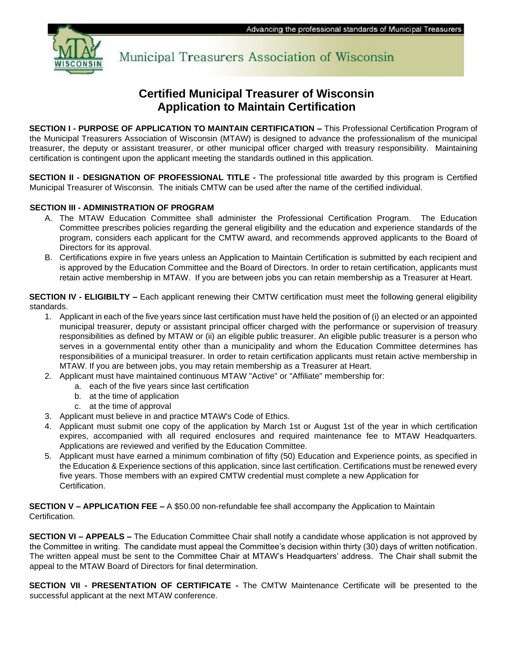

Municipal Treasurers Association of Wisconsin

# **Certified Municipal Treasurer of Wisconsin Application to Maintain Certification**

**SECTION I - PURPOSE OF APPLICATION TO MAINTAIN CERTIFICATION –** This Professional Certification Program of the Municipal Treasurers Association of Wisconsin (MTAW) is designed to advance the professionalism of the municipal treasurer, the deputy or assistant treasurer, or other municipal officer charged with treasury responsibility. Maintaining certification is contingent upon the applicant meeting the standards outlined in this application.

**SECTION II - DESIGNATION OF PROFESSIONAL TITLE -** The professional title awarded by this program is Certified Municipal Treasurer of Wisconsin. The initials CMTW can be used after the name of the certified individual.

#### **SECTION III - ADMINISTRATION OF PROGRAM**

- A. The MTAW Education Committee shall administer the Professional Certification Program. The Education Committee prescribes policies regarding the general eligibility and the education and experience standards of the program, considers each applicant for the CMTW award, and recommends approved applicants to the Board of Directors for its approval.
- B. Certifications expire in five years unless an Application to Maintain Certification is submitted by each recipient and is approved by the Education Committee and the Board of Directors. In order to retain certification, applicants must retain active membership in MTAW. If you are between jobs you can retain membership as a Treasurer at Heart.

**SECTION IV - ELIGIBILTY –** Each applicant renewing their CMTW certification must meet the following general eligibility standards.

- 1. Applicant in each of the five years since last certification must have held the position of (i) an elected or an appointed municipal treasurer, deputy or assistant principal officer charged with the performance or supervision of treasury responsibilities as defined by MTAW or (ii) an eligible public treasurer. An eligible public treasurer is a person who serves in a governmental entity other than a municipality and whom the Education Committee determines has responsibilities of a municipal treasurer. In order to retain certification applicants must retain active membership in MTAW. If you are between jobs, you may retain membership as a Treasurer at Heart.
- 2. Applicant must have maintained continuous MTAW "Active" or "Affiliate" membership for:
	- a. each of the five years since last certification
	- b. at the time of application
	- c. at the time of approval
- 3. Applicant must believe in and practice MTAW's Code of Ethics.
- 4. Applicant must submit one copy of the application by March 1st or August 1st of the year in which certification expires, accompanied with all required enclosures and required maintenance fee to MTAW Headquarters. Applications are reviewed and verified by the Education Committee.
- 5. Applicant must have earned a minimum combination of fifty (50) Education and Experience points, as specified in the Education & Experience sections of this application, since last certification. Certifications must be renewed every five years. Those members with an expired CMTW credential must complete a new Application for Certification.

**SECTION V – APPLICATION FEE –** A \$50.00 non-refundable fee shall accompany the Application to Maintain Certification.

**SECTION VI – APPEALS –** The Education Committee Chair shall notify a candidate whose application is not approved by the Committee in writing. The candidate must appeal the Committee's decision within thirty (30) days of written notification. The written appeal must be sent to the Committee Chair at MTAW's Headquarters' address. The Chair shall submit the appeal to the MTAW Board of Directors for final determination.

**SECTION VII - PRESENTATION OF CERTIFICATE -** The CMTW Maintenance Certificate will be presented to the successful applicant at the next MTAW conference.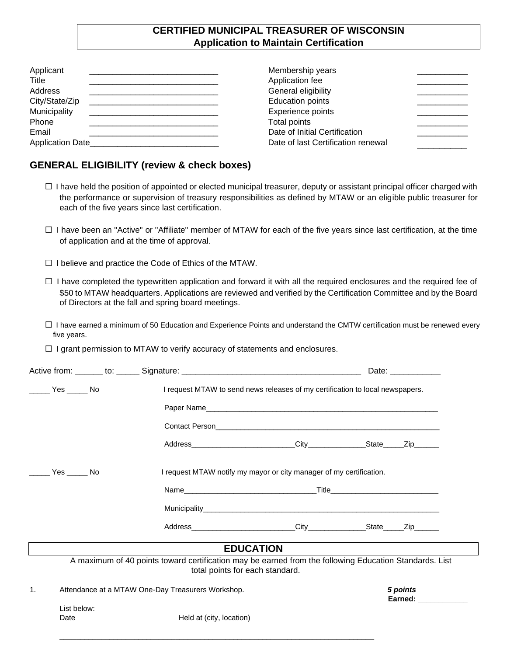## **CERTIFIED MUNICIPAL TREASURER OF WISCONSIN Application to Maintain Certification**

| Applicant<br>Title      | Membership years<br>Application fee |  |
|-------------------------|-------------------------------------|--|
| Address                 | General eligibility                 |  |
| City/State/Zip          | <b>Education points</b>             |  |
| Municipality            | Experience points                   |  |
| Phone                   | Total points                        |  |
| Email                   | Date of Initial Certification       |  |
| <b>Application Date</b> | Date of last Certification renewal  |  |

### **GENERAL ELIGIBILITY (review & check boxes)**

- □ I have held the position of appointed or elected municipal treasurer, deputy or assistant principal officer charged with the performance or supervision of treasury responsibilities as defined by MTAW or an eligible public treasurer for each of the five years since last certification.
- $\square$  I have been an "Active" or "Affiliate" member of MTAW for each of the five years since last certification, at the time of application and at the time of approval.
- □ I believe and practice the Code of Ethics of the MTAW.
- $\Box$  I have completed the typewritten application and forward it with all the required enclosures and the required fee of \$50 to MTAW headquarters. Applications are reviewed and verified by the Certification Committee and by the Board of Directors at the fall and spring board meetings.
- $\square$  I have earned a minimum of 50 Education and Experience Points and understand the CMTW certification must be renewed every five years.
- $\Box$  I grant permission to MTAW to verify accuracy of statements and enclosures.

|             |                                                                                                        |                                                                               | Date: ____________                 |  |
|-------------|--------------------------------------------------------------------------------------------------------|-------------------------------------------------------------------------------|------------------------------------|--|
|             |                                                                                                        | I request MTAW to send news releases of my certification to local newspapers. |                                    |  |
|             |                                                                                                        |                                                                               |                                    |  |
|             |                                                                                                        |                                                                               |                                    |  |
|             |                                                                                                        |                                                                               |                                    |  |
|             |                                                                                                        | I request MTAW notify my mayor or city manager of my certification.           |                                    |  |
|             |                                                                                                        |                                                                               |                                    |  |
|             |                                                                                                        |                                                                               |                                    |  |
|             |                                                                                                        |                                                                               |                                    |  |
|             |                                                                                                        | <b>EDUCATION</b>                                                              |                                    |  |
|             | A maximum of 40 points toward certification may be earned from the following Education Standards. List | total points for each standard.                                               |                                    |  |
|             | Attendance at a MTAW One-Day Treasurers Workshop.                                                      |                                                                               | 5 points<br>Earned: <b>Example</b> |  |
| List below: |                                                                                                        |                                                                               |                                    |  |
| Date        | Held at (city, location)                                                                               |                                                                               |                                    |  |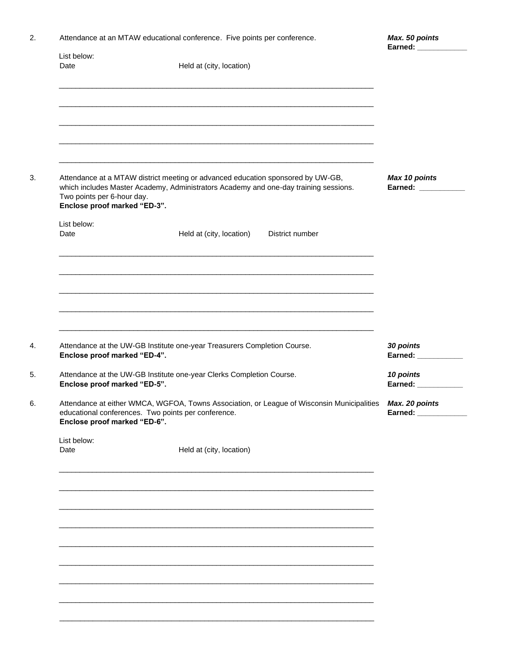| Attendance at an MTAW educational conference. Five points per conference |  |  |
|--------------------------------------------------------------------------|--|--|
|                                                                          |  |  |

| Date                                                                                                                                                                                                                                  | Held at (city, location)                                                 |                                  |
|---------------------------------------------------------------------------------------------------------------------------------------------------------------------------------------------------------------------------------------|--------------------------------------------------------------------------|----------------------------------|
| Attendance at a MTAW district meeting or advanced education sponsored by UW-GB,<br>which includes Master Academy, Administrators Academy and one-day training sessions.<br>Two points per 6-hour day.<br>Enclose proof marked "ED-3". | Max 10 points<br>Earned: ___________                                     |                                  |
| List below:<br>Date                                                                                                                                                                                                                   | Held at (city, location)<br>District number                              |                                  |
| Enclose proof marked "ED-4".                                                                                                                                                                                                          | Attendance at the UW-GB Institute one-year Treasurers Completion Course. | 30 points<br>Earned: ___________ |
| Attendance at the UW-GB Institute one-year Clerks Completion Course.<br>Enclose proof marked "ED-5".                                                                                                                                  | 10 points<br>Earned: ___________                                         |                                  |
| Attendance at either WMCA, WGFOA, Towns Association, or League of Wisconsin Municipalities<br>educational conferences. Two points per conference.<br>Enclose proof marked "ED-6".                                                     | Max. 20 points<br>Earned: _____________                                  |                                  |
| List below:<br>Date                                                                                                                                                                                                                   | Held at (city, location)                                                 |                                  |
|                                                                                                                                                                                                                                       |                                                                          |                                  |
|                                                                                                                                                                                                                                       |                                                                          |                                  |
|                                                                                                                                                                                                                                       |                                                                          |                                  |

\_\_\_\_\_\_\_\_\_\_\_\_\_\_\_\_\_\_\_\_\_\_\_\_\_\_\_\_\_\_\_\_\_\_\_\_\_\_\_\_\_\_\_\_\_\_\_\_\_\_\_\_\_\_\_\_\_\_\_\_\_\_\_\_\_\_\_\_\_\_\_\_\_\_\_\_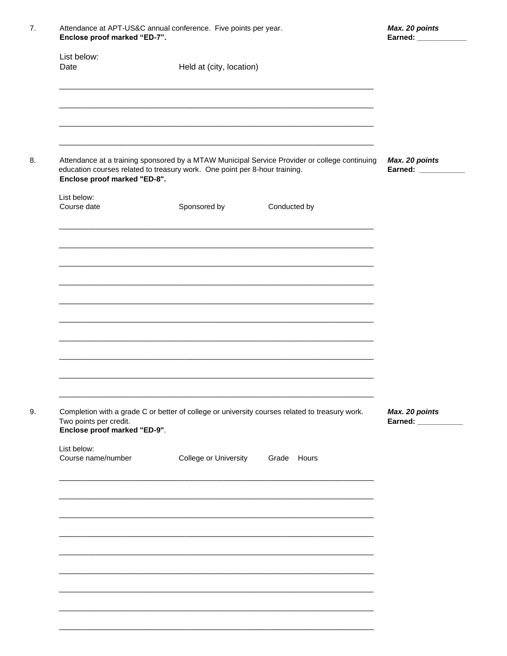| List below:                                                                                                |                          |                                                                                                |                                        |
|------------------------------------------------------------------------------------------------------------|--------------------------|------------------------------------------------------------------------------------------------|----------------------------------------|
| Date                                                                                                       | Held at (city, location) |                                                                                                |                                        |
|                                                                                                            |                          |                                                                                                |                                        |
| education courses related to treasury work. One point per 8-hour training.<br>Enclose proof marked "ED-8". |                          | Attendance at a training sponsored by a MTAW Municipal Service Provider or college continuing  | Max. 20 points<br>Earned: ____________ |
| List below:<br>Course date                                                                                 | Sponsored by             | Conducted by                                                                                   |                                        |
|                                                                                                            |                          |                                                                                                |                                        |
|                                                                                                            |                          |                                                                                                |                                        |
|                                                                                                            |                          |                                                                                                |                                        |
|                                                                                                            |                          |                                                                                                |                                        |
| Two points per credit.                                                                                     |                          | Completion with a grade C or better of college or university courses related to treasury work. | Max. 20 points<br>Earned: ___________  |
| Enclose proof marked "ED-9".<br>List below:<br>Course name/number                                          | College or University    | Grade Hours                                                                                    |                                        |
|                                                                                                            |                          |                                                                                                |                                        |
|                                                                                                            |                          |                                                                                                |                                        |
|                                                                                                            |                          |                                                                                                |                                        |
|                                                                                                            |                          |                                                                                                |                                        |

Max. 20 points

Attendance at APT-US&C annual conference. Five points per year.

 $7.$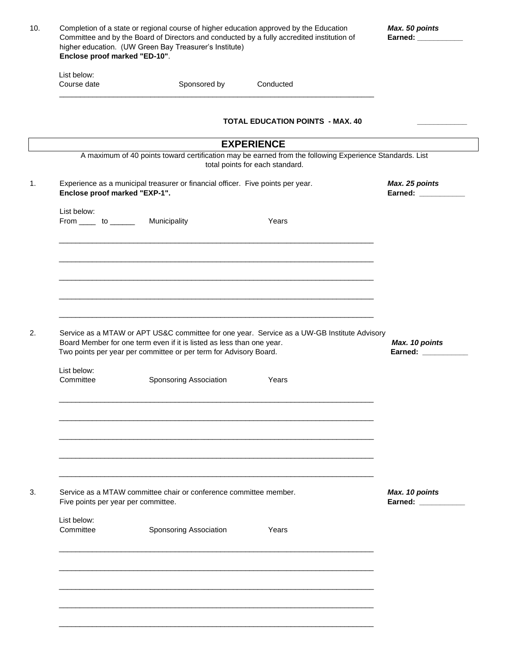| Completion of a state or regional course of higher education approved by the Education<br>Committee and by the Board of Directors and conducted by a fully accredited institution of<br>higher education. (UW Green Bay Treasurer's Institute)<br>Enclose proof marked "ED-10". |                                                                                                                                            |                                                                                                                                            | Max. 50 points<br>Earned: ___________ |
|---------------------------------------------------------------------------------------------------------------------------------------------------------------------------------------------------------------------------------------------------------------------------------|--------------------------------------------------------------------------------------------------------------------------------------------|--------------------------------------------------------------------------------------------------------------------------------------------|---------------------------------------|
| List below:<br>Course date                                                                                                                                                                                                                                                      | Sponsored by                                                                                                                               | Conducted                                                                                                                                  |                                       |
|                                                                                                                                                                                                                                                                                 |                                                                                                                                            | <b>TOTAL EDUCATION POINTS - MAX. 40</b>                                                                                                    |                                       |
|                                                                                                                                                                                                                                                                                 |                                                                                                                                            | <b>EXPERIENCE</b>                                                                                                                          |                                       |
|                                                                                                                                                                                                                                                                                 |                                                                                                                                            | A maximum of 40 points toward certification may be earned from the following Experience Standards. List<br>total points for each standard. |                                       |
| Enclose proof marked "EXP-1".                                                                                                                                                                                                                                                   | Experience as a municipal treasurer or financial officer. Five points per year.                                                            |                                                                                                                                            | Max. 25 points<br>Earned: ___________ |
| List below:<br>From $\_\_\_$ to $\_\_\_\_\_\$                                                                                                                                                                                                                                   | Municipality                                                                                                                               | Years                                                                                                                                      |                                       |
|                                                                                                                                                                                                                                                                                 |                                                                                                                                            |                                                                                                                                            |                                       |
|                                                                                                                                                                                                                                                                                 |                                                                                                                                            |                                                                                                                                            |                                       |
|                                                                                                                                                                                                                                                                                 |                                                                                                                                            |                                                                                                                                            |                                       |
|                                                                                                                                                                                                                                                                                 | Board Member for one term even if it is listed as less than one year.<br>Two points per year per committee or per term for Advisory Board. | Service as a MTAW or APT US&C committee for one year. Service as a UW-GB Institute Advisory                                                | Max. 10 points<br>Earned: __________  |
| List below:<br>Committee                                                                                                                                                                                                                                                        | Sponsoring Association                                                                                                                     | Years                                                                                                                                      |                                       |
|                                                                                                                                                                                                                                                                                 |                                                                                                                                            |                                                                                                                                            |                                       |
|                                                                                                                                                                                                                                                                                 |                                                                                                                                            |                                                                                                                                            |                                       |
|                                                                                                                                                                                                                                                                                 | Service as a MTAW committee chair or conference committee member.                                                                          |                                                                                                                                            | Max. 10 points                        |
| Five points per year per committee.<br>List below:                                                                                                                                                                                                                              |                                                                                                                                            |                                                                                                                                            | Earned: ___________                   |
| Committee                                                                                                                                                                                                                                                                       | Sponsoring Association                                                                                                                     | Years                                                                                                                                      |                                       |
|                                                                                                                                                                                                                                                                                 |                                                                                                                                            |                                                                                                                                            |                                       |
|                                                                                                                                                                                                                                                                                 |                                                                                                                                            |                                                                                                                                            |                                       |
|                                                                                                                                                                                                                                                                                 |                                                                                                                                            |                                                                                                                                            |                                       |
|                                                                                                                                                                                                                                                                                 |                                                                                                                                            |                                                                                                                                            |                                       |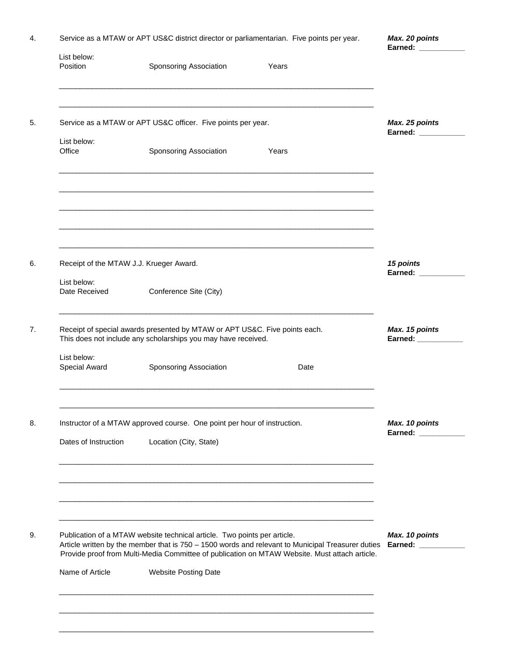| List below:<br>Position<br>List below:<br>Office<br>Receipt of the MTAW J.J. Krueger Award.<br>List below:<br>Date Received<br>List below:<br>Special Award | Sponsoring Association<br>Service as a MTAW or APT US&C officer. Five points per year.<br>Sponsoring Association<br>Conference Site (City)<br>Receipt of special awards presented by MTAW or APT US&C. Five points each.<br>This does not include any scholarships you may have received. | Years<br>Years<br><u> 1989 - Johann Stoff, amerikansk politiker (d. 1989)</u><br><u> 1989 - Johann Stoff, amerikansk politiker (d. 1989)</u>                                                                        | Max. 25 points<br>Earned: ___________<br>15 points<br>Earned: Earned: |
|-------------------------------------------------------------------------------------------------------------------------------------------------------------|-------------------------------------------------------------------------------------------------------------------------------------------------------------------------------------------------------------------------------------------------------------------------------------------|---------------------------------------------------------------------------------------------------------------------------------------------------------------------------------------------------------------------|-----------------------------------------------------------------------|
|                                                                                                                                                             |                                                                                                                                                                                                                                                                                           |                                                                                                                                                                                                                     |                                                                       |
|                                                                                                                                                             |                                                                                                                                                                                                                                                                                           |                                                                                                                                                                                                                     |                                                                       |
|                                                                                                                                                             |                                                                                                                                                                                                                                                                                           |                                                                                                                                                                                                                     |                                                                       |
|                                                                                                                                                             |                                                                                                                                                                                                                                                                                           |                                                                                                                                                                                                                     |                                                                       |
|                                                                                                                                                             |                                                                                                                                                                                                                                                                                           |                                                                                                                                                                                                                     | Max. 15 points<br>Earned: ___________                                 |
|                                                                                                                                                             | Sponsoring Association                                                                                                                                                                                                                                                                    | Date                                                                                                                                                                                                                |                                                                       |
| Dates of Instruction                                                                                                                                        | Instructor of a MTAW approved course. One point per hour of instruction.<br>Location (City, State)                                                                                                                                                                                        |                                                                                                                                                                                                                     | Max. 10 points<br>Earned: ____________                                |
|                                                                                                                                                             | Publication of a MTAW website technical article. Two points per article.                                                                                                                                                                                                                  | Article written by the member that is 750 - 1500 words and relevant to Municipal Treasurer duties Earned: ________<br>Provide proof from Multi-Media Committee of publication on MTAW Website. Must attach article. | Max. 10 points                                                        |
| Name of Article                                                                                                                                             | <b>Website Posting Date</b>                                                                                                                                                                                                                                                               |                                                                                                                                                                                                                     |                                                                       |

\_\_\_\_\_\_\_\_\_\_\_\_\_\_\_\_\_\_\_\_\_\_\_\_\_\_\_\_\_\_\_\_\_\_\_\_\_\_\_\_\_\_\_\_\_\_\_\_\_\_\_\_\_\_\_\_\_\_\_\_\_\_\_\_\_\_\_\_\_\_\_\_\_\_\_\_